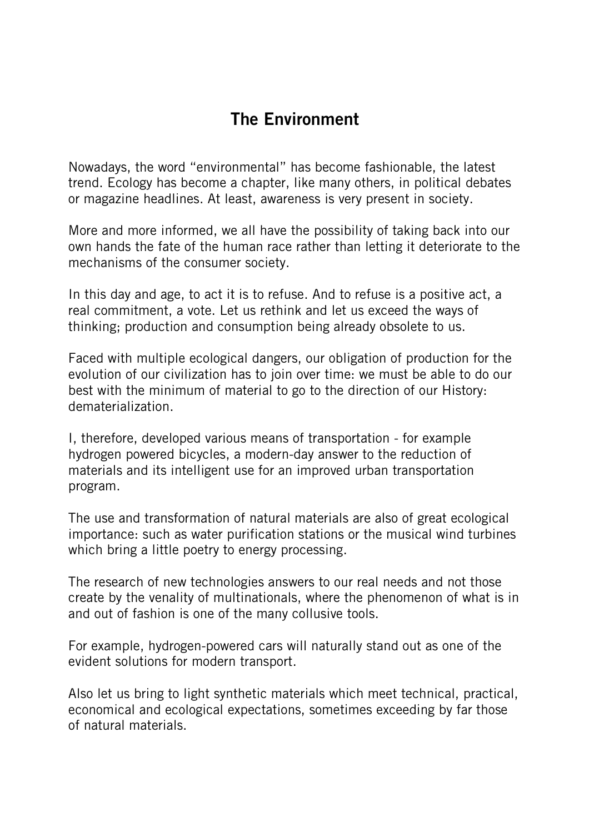## The Environment

Nowadays, the word "environmental" has become fashionable, the latest trend. Ecology has become a chapter, like many others, in political debates or magazine headlines. At least, awareness is very present in society.

More and more informed, we all have the possibility of taking back into our own hands the fate of the human race rather than letting it deteriorate to the mechanisms of the consumer society.

In this day and age, to act it is to refuse. And to refuse is a positive act, a real commitment, a vote. Let us rethink and let us exceed the ways of thinking; production and consumption being already obsolete to us.

Faced with multiple ecological dangers, our obligation of production for the evolution of our civilization has to join over time: we must be able to do our best with the minimum of material to go to the direction of our History: dematerialization.

I, therefore, developed various means of transportation - for example hydrogen powered bicycles, a modern-day answer to the reduction of materials and its intelligent use for an improved urban transportation program.

The use and transformation of natural materials are also of great ecological importance: such as water purification stations or the musical wind turbines which bring a little poetry to energy processing.

The research of new technologies answers to our real needs and not those create by the venality of multinationals, where the phenomenon of what is in and out of fashion is one of the many collusive tools.

For example, hydrogen-powered cars will naturally stand out as one of the evident solutions for modern transport.

Also let us bring to light synthetic materials which meet technical, practical, economical and ecological expectations, sometimes exceeding by far those of natural materials.